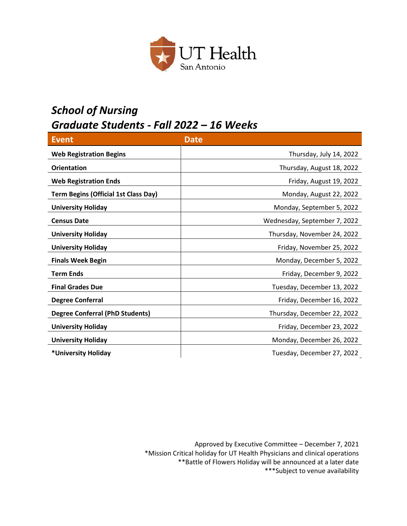

### *School of Nursing Graduate Students - Fall 2022 – 16 Weeks*

| <b>Event</b>                                | <b>Date</b>                  |
|---------------------------------------------|------------------------------|
| <b>Web Registration Begins</b>              | Thursday, July 14, 2022      |
| <b>Orientation</b>                          | Thursday, August 18, 2022    |
| <b>Web Registration Ends</b>                | Friday, August 19, 2022      |
| <b>Term Begins (Official 1st Class Day)</b> | Monday, August 22, 2022      |
| <b>University Holiday</b>                   | Monday, September 5, 2022    |
| <b>Census Date</b>                          | Wednesday, September 7, 2022 |
| <b>University Holiday</b>                   | Thursday, November 24, 2022  |
| <b>University Holiday</b>                   | Friday, November 25, 2022    |
| <b>Finals Week Begin</b>                    | Monday, December 5, 2022     |
| <b>Term Ends</b>                            | Friday, December 9, 2022     |
| <b>Final Grades Due</b>                     | Tuesday, December 13, 2022   |
| <b>Degree Conferral</b>                     | Friday, December 16, 2022    |
| <b>Degree Conferral (PhD Students)</b>      | Thursday, December 22, 2022  |
| <b>University Holiday</b>                   | Friday, December 23, 2022    |
| <b>University Holiday</b>                   | Monday, December 26, 2022    |
| *University Holiday                         | Tuesday, December 27, 2022   |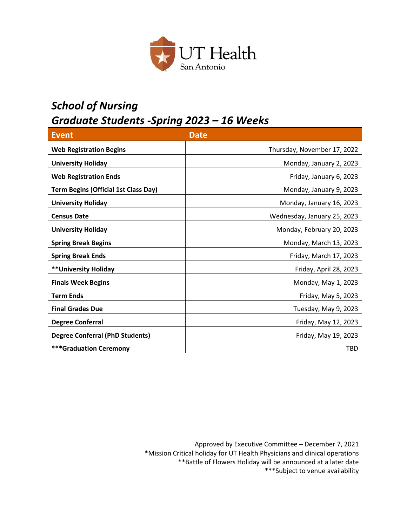

### *School of Nursing Graduate Students -Spring 2023 – 16 Weeks*

| <b>Event</b>                                | <b>Date</b>                 |
|---------------------------------------------|-----------------------------|
| <b>Web Registration Begins</b>              | Thursday, November 17, 2022 |
| <b>University Holiday</b>                   | Monday, January 2, 2023     |
| <b>Web Registration Ends</b>                | Friday, January 6, 2023     |
| <b>Term Begins (Official 1st Class Day)</b> | Monday, January 9, 2023     |
| <b>University Holiday</b>                   | Monday, January 16, 2023    |
| <b>Census Date</b>                          | Wednesday, January 25, 2023 |
| <b>University Holiday</b>                   | Monday, February 20, 2023   |
| <b>Spring Break Begins</b>                  | Monday, March 13, 2023      |
| <b>Spring Break Ends</b>                    | Friday, March 17, 2023      |
| **University Holiday                        | Friday, April 28, 2023      |
| <b>Finals Week Begins</b>                   | Monday, May 1, 2023         |
| <b>Term Ends</b>                            | Friday, May 5, 2023         |
| <b>Final Grades Due</b>                     | Tuesday, May 9, 2023        |
| <b>Degree Conferral</b>                     | Friday, May 12, 2023        |
| <b>Degree Conferral (PhD Students)</b>      | Friday, May 19, 2023        |
| <b>***Graduation Ceremony</b>               | <b>TBD</b>                  |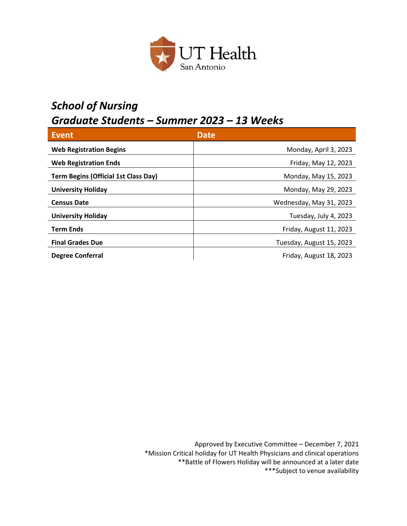

#### *School of Nursing Graduate Students – Summer 2023 – 13 Weeks*

| <b>Event</b>                                | <b>Date</b>              |
|---------------------------------------------|--------------------------|
| <b>Web Registration Begins</b>              | Monday, April 3, 2023    |
| <b>Web Registration Ends</b>                | Friday, May 12, 2023     |
| <b>Term Begins (Official 1st Class Day)</b> | Monday, May 15, 2023     |
| <b>University Holiday</b>                   | Monday, May 29, 2023     |
| <b>Census Date</b>                          | Wednesday, May 31, 2023  |
| <b>University Holiday</b>                   | Tuesday, July 4, 2023    |
| <b>Term Ends</b>                            | Friday, August 11, 2023  |
| <b>Final Grades Due</b>                     | Tuesday, August 15, 2023 |
| <b>Degree Conferral</b>                     | Friday, August 18, 2023  |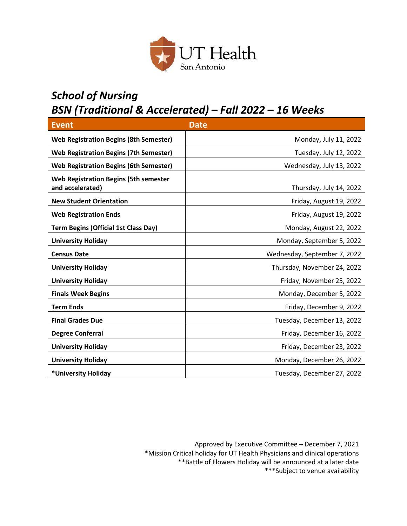

### *School of Nursing*

## *BSN (Traditional & Accelerated) – Fall 2022 – 16 Weeks*

| <b>Event</b>                                                     | <b>Date</b>                  |
|------------------------------------------------------------------|------------------------------|
| <b>Web Registration Begins (8th Semester)</b>                    | Monday, July 11, 2022        |
| <b>Web Registration Begins (7th Semester)</b>                    | Tuesday, July 12, 2022       |
| <b>Web Registration Begins (6th Semester)</b>                    | Wednesday, July 13, 2022     |
| <b>Web Registration Begins (5th semester</b><br>and accelerated) | Thursday, July 14, 2022      |
| <b>New Student Orientation</b>                                   | Friday, August 19, 2022      |
| <b>Web Registration Ends</b>                                     | Friday, August 19, 2022      |
| <b>Term Begins (Official 1st Class Day)</b>                      | Monday, August 22, 2022      |
| <b>University Holiday</b>                                        | Monday, September 5, 2022    |
| <b>Census Date</b>                                               | Wednesday, September 7, 2022 |
| <b>University Holiday</b>                                        | Thursday, November 24, 2022  |
| <b>University Holiday</b>                                        | Friday, November 25, 2022    |
| <b>Finals Week Begins</b>                                        | Monday, December 5, 2022     |
| <b>Term Ends</b>                                                 | Friday, December 9, 2022     |
| <b>Final Grades Due</b>                                          | Tuesday, December 13, 2022   |
| <b>Degree Conferral</b>                                          | Friday, December 16, 2022    |
| <b>University Holiday</b>                                        | Friday, December 23, 2022    |
| <b>University Holiday</b>                                        | Monday, December 26, 2022    |
| *University Holiday                                              | Tuesday, December 27, 2022   |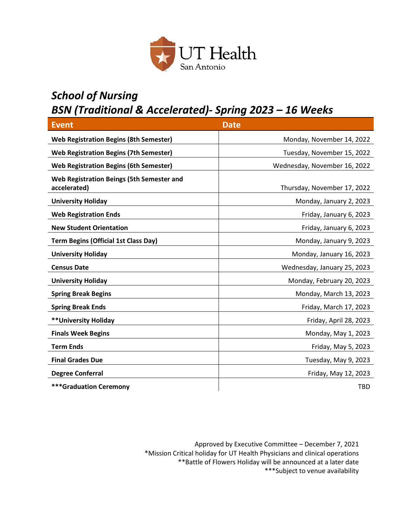

### *School of Nursing*

## *BSN (Traditional & Accelerated)- Spring 2023 – 16 Weeks*

| <b>Event</b>                                              | <b>Date</b>                  |
|-----------------------------------------------------------|------------------------------|
| <b>Web Registration Begins (8th Semester)</b>             | Monday, November 14, 2022    |
| <b>Web Registration Begins (7th Semester)</b>             | Tuesday, November 15, 2022   |
| <b>Web Registration Begins (6th Semester)</b>             | Wednesday, November 16, 2022 |
| Web Registration Beings (5th Semester and<br>accelerated) | Thursday, November 17, 2022  |
| <b>University Holiday</b>                                 | Monday, January 2, 2023      |
| <b>Web Registration Ends</b>                              | Friday, January 6, 2023      |
| <b>New Student Orientation</b>                            | Friday, January 6, 2023      |
| <b>Term Begins (Official 1st Class Day)</b>               | Monday, January 9, 2023      |
| <b>University Holiday</b>                                 | Monday, January 16, 2023     |
| <b>Census Date</b>                                        | Wednesday, January 25, 2023  |
| <b>University Holiday</b>                                 | Monday, February 20, 2023    |
| <b>Spring Break Begins</b>                                | Monday, March 13, 2023       |
| <b>Spring Break Ends</b>                                  | Friday, March 17, 2023       |
| ** University Holiday                                     | Friday, April 28, 2023       |
| <b>Finals Week Begins</b>                                 | Monday, May 1, 2023          |
| <b>Term Ends</b>                                          | Friday, May 5, 2023          |
| <b>Final Grades Due</b>                                   | Tuesday, May 9, 2023         |
| <b>Degree Conferral</b>                                   | Friday, May 12, 2023         |
| <b>***Graduation Ceremony</b>                             | <b>TBD</b>                   |